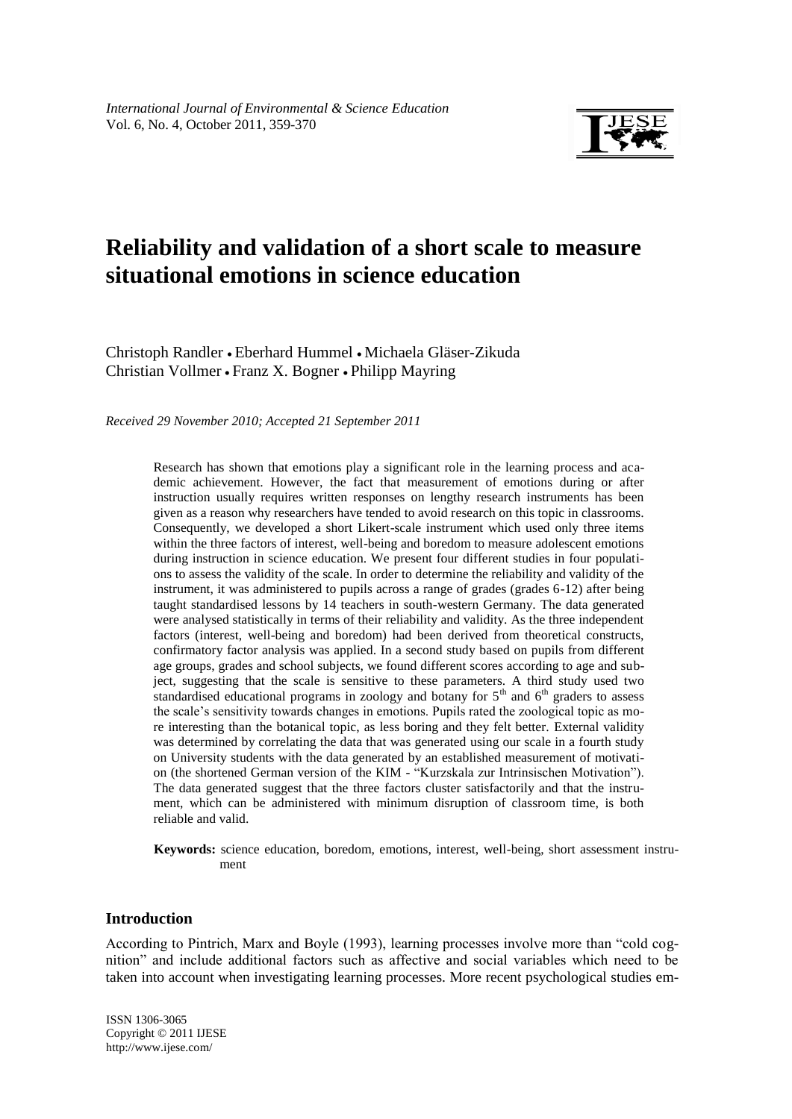

# **Reliability and validation of a short scale to measure situational emotions in science education**

Christoph Randler • Eberhard Hummel • Michaela Gläser-Zikuda Christian Vollmer Franz X. Bogner Philipp Mayring

*Received 29 November 2010; Accepted 21 September 2011*

Research has shown that emotions play a significant role in the learning process and academic achievement. However, the fact that measurement of emotions during or after instruction usually requires written responses on lengthy research instruments has been given as a reason why researchers have tended to avoid research on this topic in classrooms. Consequently, we developed a short Likert-scale instrument which used only three items within the three factors of interest, well-being and boredom to measure adolescent emotions during instruction in science education. We present four different studies in four populations to assess the validity of the scale. In order to determine the reliability and validity of the instrument, it was administered to pupils across a range of grades (grades 6-12) after being taught standardised lessons by 14 teachers in south-western Germany. The data generated were analysed statistically in terms of their reliability and validity. As the three independent factors (interest, well-being and boredom) had been derived from theoretical constructs, confirmatory factor analysis was applied. In a second study based on pupils from different age groups, grades and school subjects, we found different scores according to age and subject, suggesting that the scale is sensitive to these parameters. A third study used two standardised educational programs in zoology and botany for  $5<sup>th</sup>$  and  $6<sup>th</sup>$  graders to assess the scale's sensitivity towards changes in emotions. Pupils rated the zoological topic as more interesting than the botanical topic, as less boring and they felt better. External validity was determined by correlating the data that was generated using our scale in a fourth study on University students with the data generated by an established measurement of motivation (the shortened German version of the KIM - "Kurzskala zur Intrinsischen Motivation"). The data generated suggest that the three factors cluster satisfactorily and that the instrument, which can be administered with minimum disruption of classroom time, is both reliable and valid.

**Keywords:** science education, boredom, emotions, interest, well-being, short assessment instrument

## **Introduction**

According to Pintrich, Marx and Boyle (1993), learning processes involve more than "cold cognition‖ and include additional factors such as affective and social variables which need to be taken into account when investigating learning processes. More recent psychological studies em-

fgjkl ISSN 1306-3065 Copyright © 2011 IJESE <http://www.ijese.com/>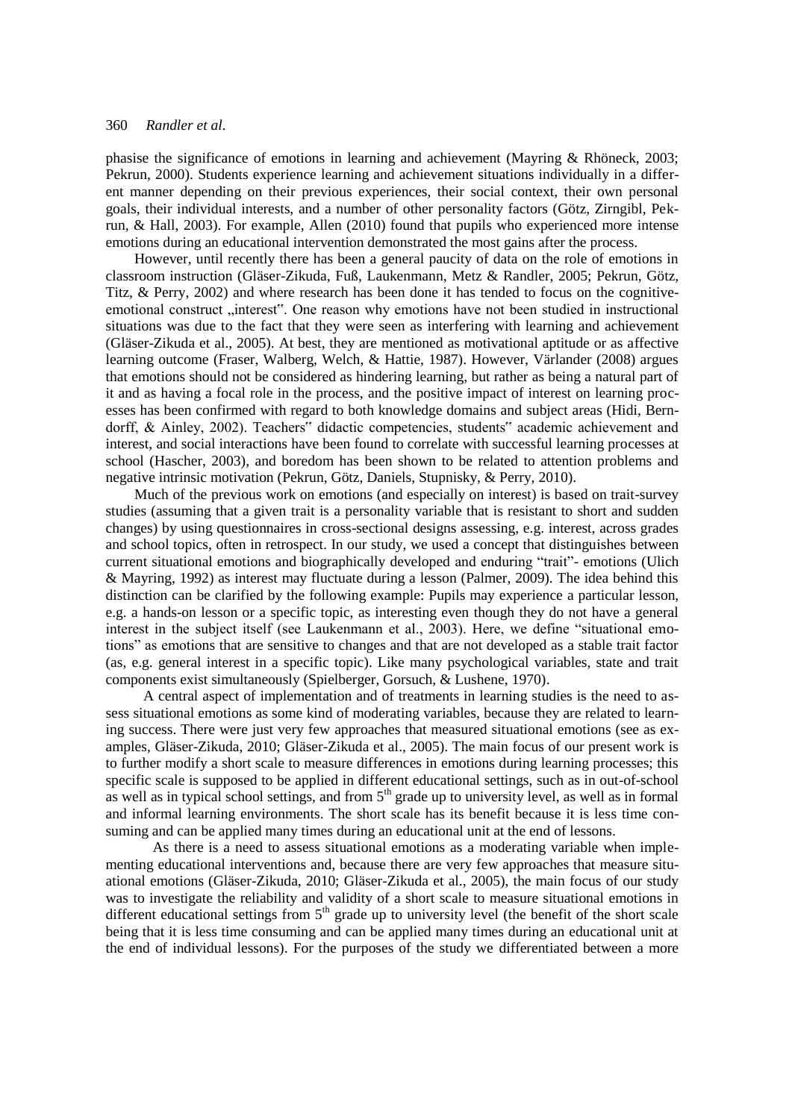phasise the significance of emotions in learning and achievement (Mayring & Rhöneck, 2003; Pekrun, 2000). Students experience learning and achievement situations individually in a different manner depending on their previous experiences, their social context, their own personal goals, their individual interests, and a number of other personality factors (Götz, Zirngibl, Pekrun, & Hall, 2003). For example, Allen (2010) found that pupils who experienced more intense emotions during an educational intervention demonstrated the most gains after the process.

However, until recently there has been a general paucity of data on the role of emotions in classroom instruction (Gläser-Zikuda, Fuß, Laukenmann, Metz & Randler, 2005; Pekrun, Götz, Titz, & Perry, 2002) and where research has been done it has tended to focus on the cognitiveemotional construct "interest". One reason why emotions have not been studied in instructional situations was due to the fact that they were seen as interfering with learning and achievement (Gläser-Zikuda et al., 2005). At best, they are mentioned as motivational aptitude or as affective learning outcome (Fraser, Walberg, Welch, & Hattie, 1987). However, Värlander (2008) argues that emotions should not be considered as hindering learning, but rather as being a natural part of it and as having a focal role in the process, and the positive impact of interest on learning processes has been confirmed with regard to both knowledge domains and subject areas (Hidi, Berndorff, & Ainley, 2002). Teachers" didactic competencies, students" academic achievement and interest, and social interactions have been found to correlate with successful learning processes at school (Hascher, 2003), and boredom has been shown to be related to attention problems and negative intrinsic motivation (Pekrun, Götz, Daniels, Stupnisky, & Perry, 2010).

Much of the previous work on emotions (and especially on interest) is based on trait-survey studies (assuming that a given trait is a personality variable that is resistant to short and sudden changes) by using questionnaires in cross-sectional designs assessing, e.g. interest, across grades and school topics, often in retrospect. In our study, we used a concept that distinguishes between current situational emotions and biographically developed and enduring "trait"- emotions (Ulich & Mayring, 1992) as interest may fluctuate during a lesson (Palmer, 2009). The idea behind this distinction can be clarified by the following example: Pupils may experience a particular lesson, e.g. a hands-on lesson or a specific topic, as interesting even though they do not have a general interest in the subject itself (see Laukenmann et al., 2003). Here, we define "situational emotions" as emotions that are sensitive to changes and that are not developed as a stable trait factor (as, e.g. general interest in a specific topic). Like many psychological variables, state and trait components exist simultaneously (Spielberger, Gorsuch, & Lushene, 1970).

A central aspect of implementation and of treatments in learning studies is the need to assess situational emotions as some kind of moderating variables, because they are related to learning success. There were just very few approaches that measured situational emotions (see as examples, Gläser-Zikuda, 2010; Gläser-Zikuda et al., 2005). The main focus of our present work is to further modify a short scale to measure differences in emotions during learning processes; this specific scale is supposed to be applied in different educational settings, such as in out-of-school as well as in typical school settings, and from  $5<sup>th</sup>$  grade up to university level, as well as in formal and informal learning environments. The short scale has its benefit because it is less time consuming and can be applied many times during an educational unit at the end of lessons.

As there is a need to assess situational emotions as a moderating variable when implementing educational interventions and, because there are very few approaches that measure situational emotions (Gläser-Zikuda, 2010; Gläser-Zikuda et al., 2005), the main focus of our study was to investigate the reliability and validity of a short scale to measure situational emotions in different educational settings from  $5<sup>th</sup>$  grade up to university level (the benefit of the short scale being that it is less time consuming and can be applied many times during an educational unit at the end of individual lessons). For the purposes of the study we differentiated between a more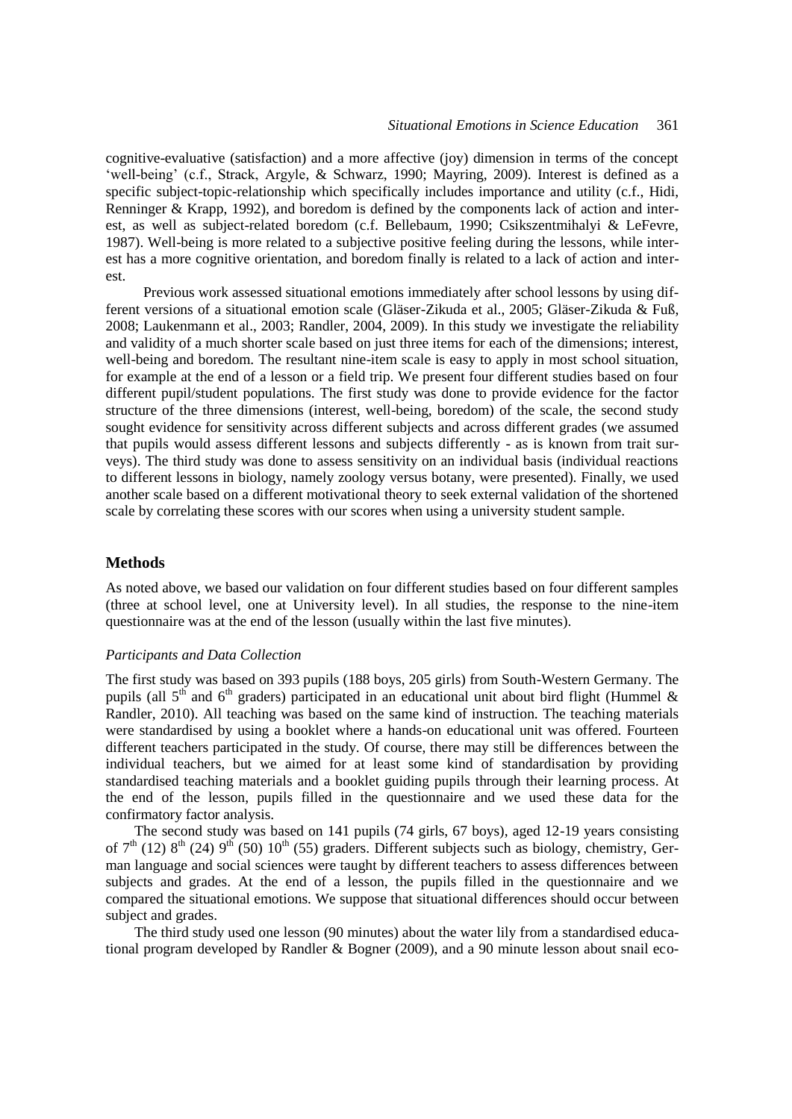cognitive-evaluative (satisfaction) and a more affective (joy) dimension in terms of the concept ‗well-being' (c.f., Strack, Argyle, & Schwarz, 1990; Mayring, 2009). Interest is defined as a specific subject-topic-relationship which specifically includes importance and utility (c.f., Hidi, Renninger & Krapp, 1992), and boredom is defined by the components lack of action and interest, as well as subject-related boredom (c.f. Bellebaum, 1990; Csikszentmihalyi & LeFevre, 1987). Well-being is more related to a subjective positive feeling during the lessons, while interest has a more cognitive orientation, and boredom finally is related to a lack of action and interest.

Previous work assessed situational emotions immediately after school lessons by using different versions of a situational emotion scale (Gläser-Zikuda et al., 2005; Gläser-Zikuda & Fuß, 2008; Laukenmann et al., 2003; Randler, 2004, 2009). In this study we investigate the reliability and validity of a much shorter scale based on just three items for each of the dimensions; interest, well-being and boredom. The resultant nine-item scale is easy to apply in most school situation, for example at the end of a lesson or a field trip. We present four different studies based on four different pupil/student populations. The first study was done to provide evidence for the factor structure of the three dimensions (interest, well-being, boredom) of the scale, the second study sought evidence for sensitivity across different subjects and across different grades (we assumed that pupils would assess different lessons and subjects differently - as is known from trait surveys). The third study was done to assess sensitivity on an individual basis (individual reactions to different lessons in biology, namely zoology versus botany, were presented). Finally, we used another scale based on a different motivational theory to seek external validation of the shortened scale by correlating these scores with our scores when using a university student sample.

## **Methods**

As noted above, we based our validation on four different studies based on four different samples (three at school level, one at University level). In all studies, the response to the nine-item questionnaire was at the end of the lesson (usually within the last five minutes).

#### *Participants and Data Collection*

The first study was based on 393 pupils (188 boys, 205 girls) from South-Western Germany. The pupils (all  $5<sup>th</sup>$  and  $6<sup>th</sup>$  graders) participated in an educational unit about bird flight (Hummel & Randler, 2010). All teaching was based on the same kind of instruction. The teaching materials were standardised by using a booklet where a hands-on educational unit was offered. Fourteen different teachers participated in the study. Of course, there may still be differences between the individual teachers, but we aimed for at least some kind of standardisation by providing standardised teaching materials and a booklet guiding pupils through their learning process. At the end of the lesson, pupils filled in the questionnaire and we used these data for the confirmatory factor analysis.

The second study was based on 141 pupils (74 girls, 67 boys), aged 12-19 years consisting of  $7<sup>th</sup>$  (12)  $8<sup>th</sup>$  (24)  $9<sup>th</sup>$  (50)  $10<sup>th</sup>$  (55) graders. Different subjects such as biology, chemistry, German language and social sciences were taught by different teachers to assess differences between subjects and grades. At the end of a lesson, the pupils filled in the questionnaire and we compared the situational emotions. We suppose that situational differences should occur between subject and grades.

The third study used one lesson (90 minutes) about the water lily from a standardised educational program developed by Randler & Bogner (2009), and a 90 minute lesson about snail eco-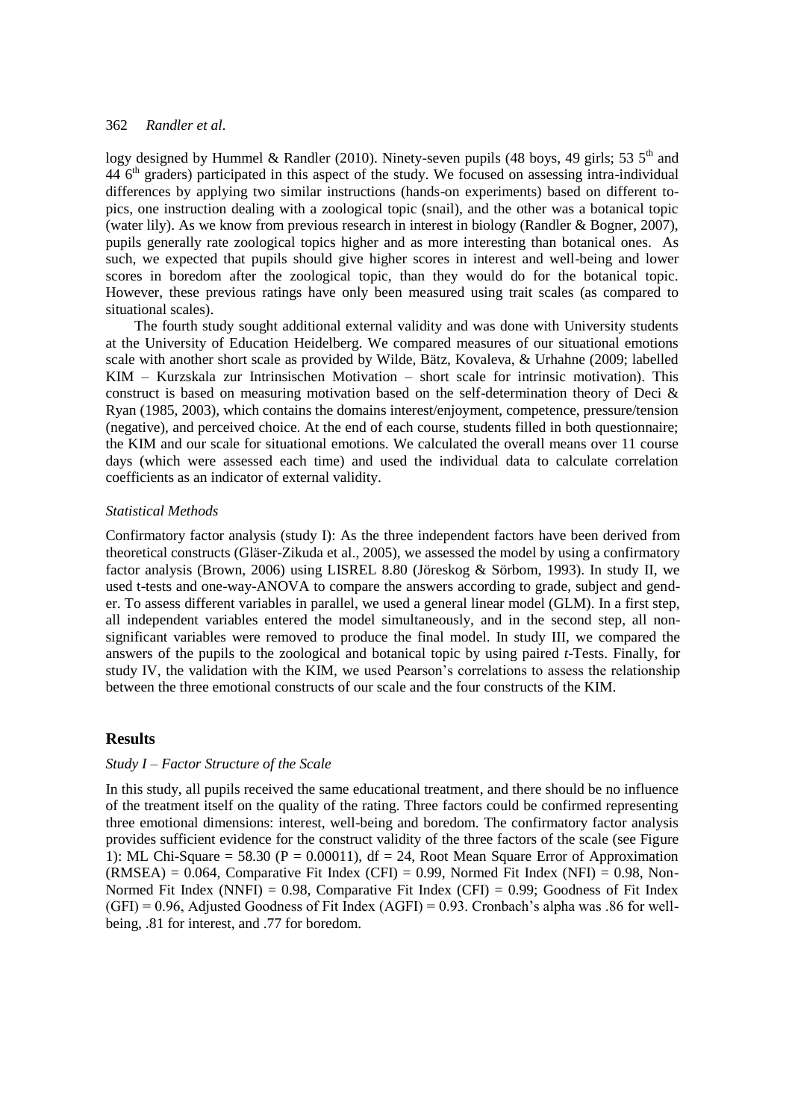logy designed by Hummel & Randler (2010). Ninety-seven pupils (48 boys, 49 girls; 53  $5<sup>th</sup>$  and 44 6<sup>th</sup> graders) participated in this aspect of the study. We focused on assessing intra-individual differences by applying two similar instructions (hands-on experiments) based on different topics, one instruction dealing with a zoological topic (snail), and the other was a botanical topic (water lily). As we know from previous research in interest in biology (Randler & Bogner, 2007), pupils generally rate zoological topics higher and as more interesting than botanical ones. As such, we expected that pupils should give higher scores in interest and well-being and lower scores in boredom after the zoological topic, than they would do for the botanical topic. However, these previous ratings have only been measured using trait scales (as compared to situational scales).

The fourth study sought additional external validity and was done with University students at the University of Education Heidelberg. We compared measures of our situational emotions scale with another short scale as provided by Wilde, Bätz, Kovaleva, & Urhahne (2009; labelled KIM – Kurzskala zur Intrinsischen Motivation – short scale for intrinsic motivation). This construct is based on measuring motivation based on the self-determination theory of Deci & Ryan (1985, 2003), which contains the domains interest/enjoyment, competence, pressure/tension (negative), and perceived choice. At the end of each course, students filled in both questionnaire; the KIM and our scale for situational emotions. We calculated the overall means over 11 course days (which were assessed each time) and used the individual data to calculate correlation coefficients as an indicator of external validity.

#### *Statistical Methods*

Confirmatory factor analysis (study I): As the three independent factors have been derived from theoretical constructs (Gläser-Zikuda et al., 2005), we assessed the model by using a confirmatory factor analysis (Brown, 2006) using LISREL 8.80 (Jöreskog & Sörbom, 1993). In study II, we used t-tests and one-way-ANOVA to compare the answers according to grade, subject and gender. To assess different variables in parallel, we used a general linear model (GLM). In a first step, all independent variables entered the model simultaneously, and in the second step, all nonsignificant variables were removed to produce the final model. In study III, we compared the answers of the pupils to the zoological and botanical topic by using paired *t*-Tests. Finally, for study IV, the validation with the KIM, we used Pearson's correlations to assess the relationship between the three emotional constructs of our scale and the four constructs of the KIM.

## **Results**

#### *Study I – Factor Structure of the Scale*

In this study, all pupils received the same educational treatment, and there should be no influence of the treatment itself on the quality of the rating. Three factors could be confirmed representing three emotional dimensions: interest, well-being and boredom. The confirmatory factor analysis provides sufficient evidence for the construct validity of the three factors of the scale (see Figure 1): ML Chi-Square = 58.30 ( $P = 0.00011$ ), df = 24, Root Mean Square Error of Approximation  $(RMSEA) = 0.064$ , Comparative Fit Index (CFI) = 0.99, Normed Fit Index (NFI) = 0.98, Non-Normed Fit Index (NNFI) =  $0.98$ , Comparative Fit Index (CFI) =  $0.99$ ; Goodness of Fit Index  $(GFI) = 0.96$ , Adjusted Goodness of Fit Index  $(AGFI) = 0.93$ . Cronbach's alpha was .86 for wellbeing, .81 for interest, and .77 for boredom.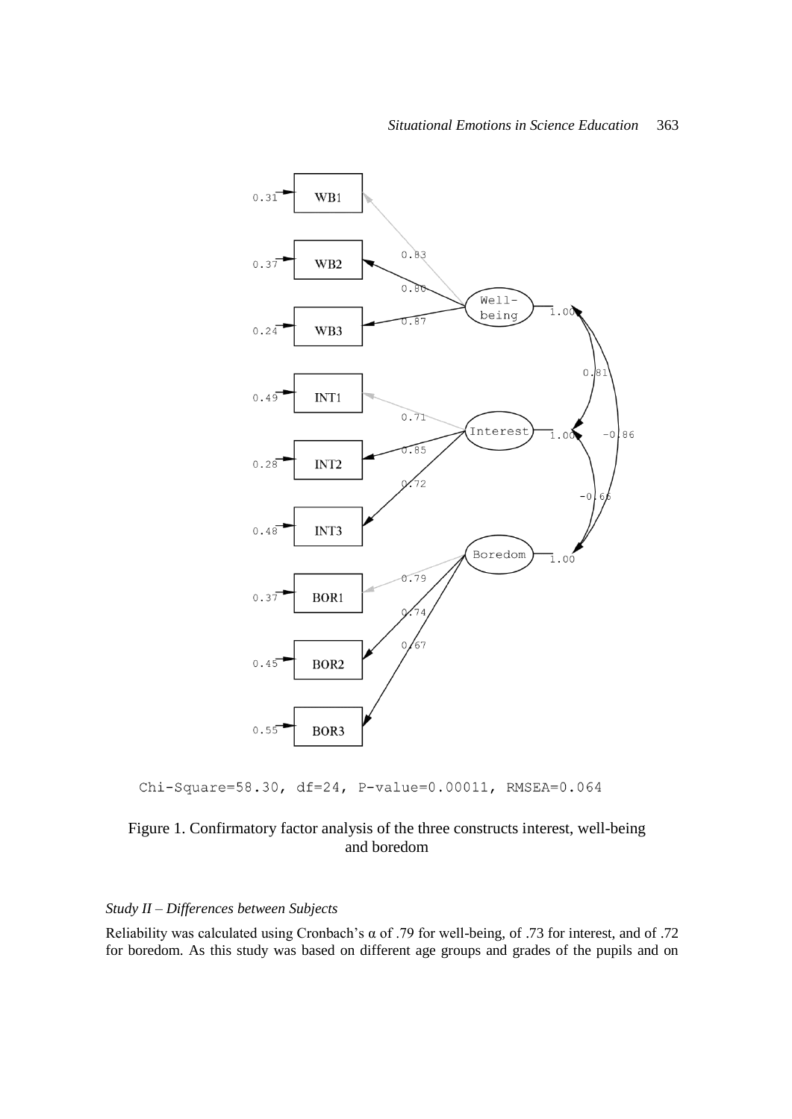

Chi-Square=58.30, df=24, P-value=0.00011, RMSEA=0.064

## Figure 1. Confirmatory factor analysis of the three constructs interest, well-being and boredom

## *Study II – Differences between Subjects*

Reliability was calculated using Cronbach's α of .79 for well-being, of .73 for interest, and of .72 for boredom. As this study was based on different age groups and grades of the pupils and on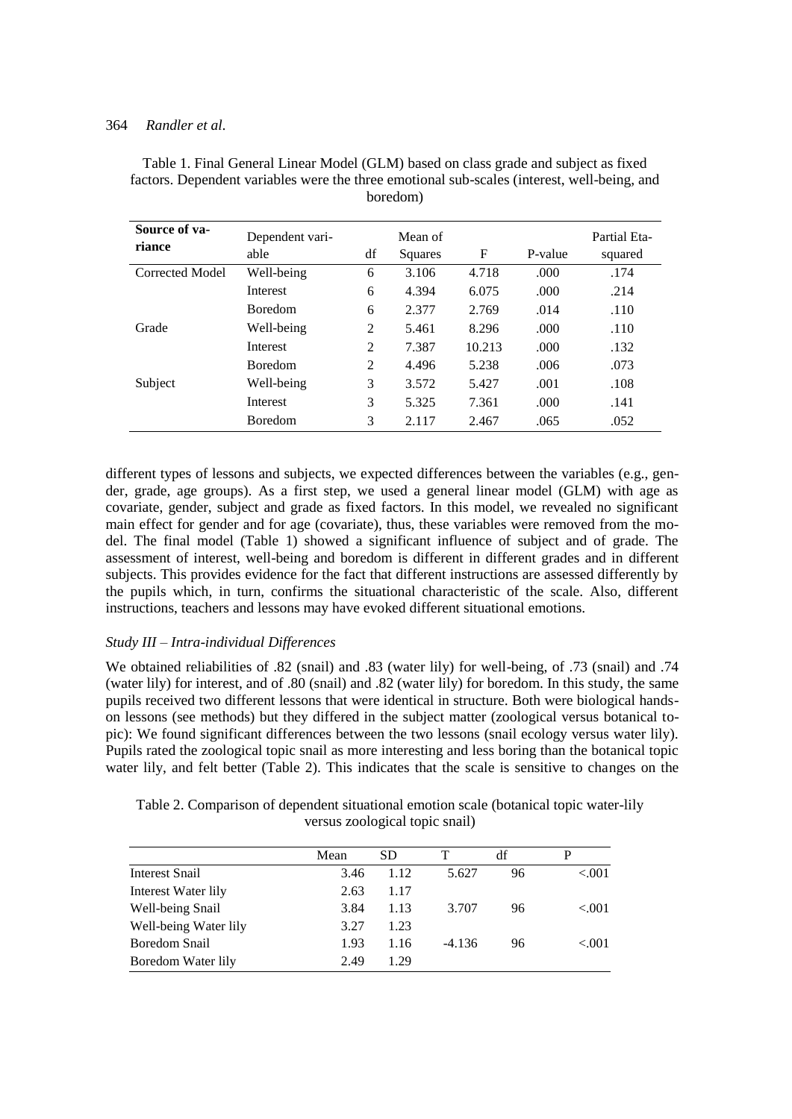| Source of va-<br>riance | Dependent vari-<br>able | df | Mean of<br>Squares | F      | P-value | Partial Eta-<br>squared |
|-------------------------|-------------------------|----|--------------------|--------|---------|-------------------------|
| Corrected Model         | Well-being              | 6  | 3.106              | 4.718  | .000    | .174                    |
|                         | Interest                | 6  | 4.394              | 6.075  | .000    | .214                    |
|                         | <b>Boredom</b>          | 6  | 2.377              | 2.769  | .014    | .110                    |
| Grade                   | Well-being              | 2  | 5.461              | 8.296  | .000    | .110                    |
|                         | Interest                | 2  | 7.387              | 10.213 | .000    | .132                    |
|                         | <b>Boredom</b>          | 2  | 4.496              | 5.238  | .006    | .073                    |
| Subject                 | Well-being              | 3  | 3.572              | 5.427  | .001    | .108                    |
|                         | Interest                | 3  | 5.325              | 7.361  | .000    | .141                    |
|                         | <b>Boredom</b>          | 3  | 2.117              | 2.467  | .065    | .052                    |

Table 1. Final General Linear Model (GLM) based on class grade and subject as fixed factors. Dependent variables were the three emotional sub-scales (interest, well-being, and boredom)

different types of lessons and subjects, we expected differences between the variables (e.g., gender, grade, age groups). As a first step, we used a general linear model (GLM) with age as covariate, gender, subject and grade as fixed factors. In this model, we revealed no significant main effect for gender and for age (covariate), thus, these variables were removed from the model. The final model (Table 1) showed a significant influence of subject and of grade. The assessment of interest, well-being and boredom is different in different grades and in different subjects. This provides evidence for the fact that different instructions are assessed differently by the pupils which, in turn, confirms the situational characteristic of the scale. Also, different instructions, teachers and lessons may have evoked different situational emotions.

## *Study III – Intra-individual Differences*

We obtained reliabilities of .82 (snail) and .83 (water lily) for well-being, of .73 (snail) and .74 (water lily) for interest, and of .80 (snail) and .82 (water lily) for boredom. In this study, the same pupils received two different lessons that were identical in structure. Both were biological handson lessons (see methods) but they differed in the subject matter (zoological versus botanical topic): We found significant differences between the two lessons (snail ecology versus water lily). Pupils rated the zoological topic snail as more interesting and less boring than the botanical topic water lily, and felt better (Table 2). This indicates that the scale is sensitive to changes on the

Table 2. Comparison of dependent situational emotion scale (botanical topic water-lily versus zoological topic snail)

|                       | Mean | <b>SD</b> |          | df | P         |
|-----------------------|------|-----------|----------|----|-----------|
| Interest Snail        | 3.46 | 1.12      | 5.627    | 96 | < 0.01    |
| Interest Water lily   | 2.63 | 1.17      |          |    |           |
| Well-being Snail      | 3.84 | 1.13      | 3.707    | 96 | ${<}.001$ |
| Well-being Water lily | 3.27 | 1.23      |          |    |           |
| <b>Boredom Snail</b>  | 1.93 | 1.16      | $-4.136$ | 96 | < 0.01    |
| Boredom Water lily    | 2.49 | 1.29      |          |    |           |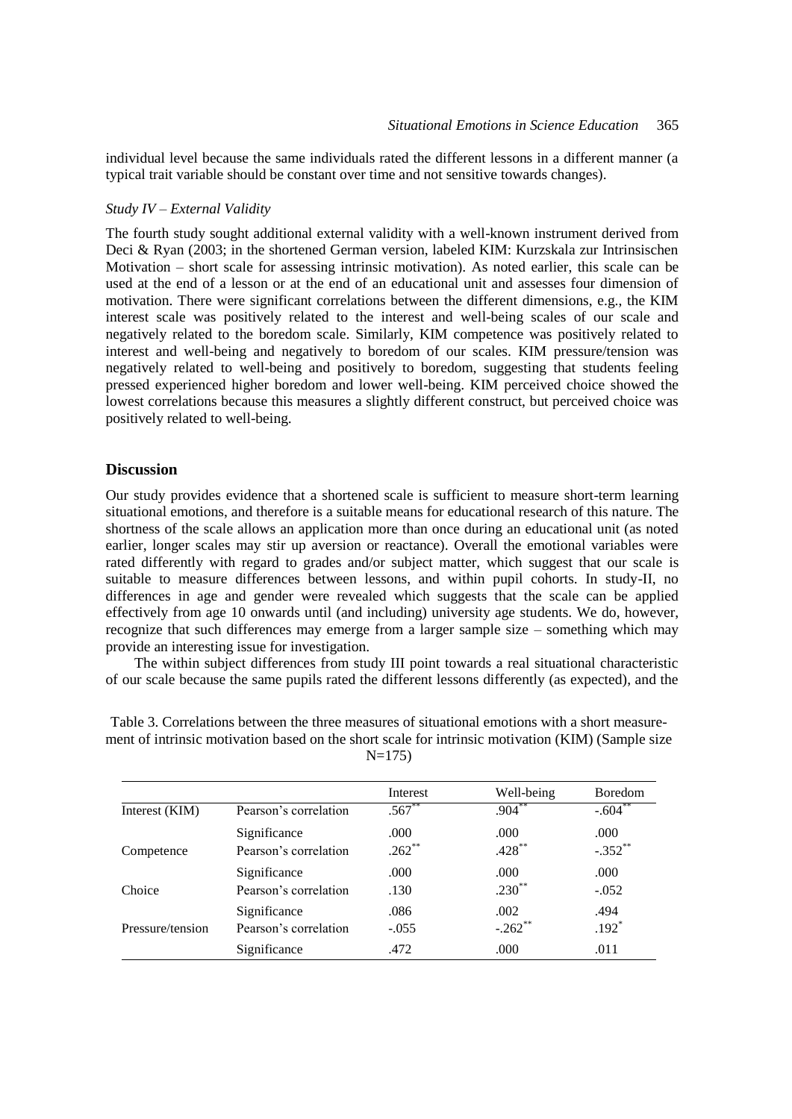individual level because the same individuals rated the different lessons in a different manner (a typical trait variable should be constant over time and not sensitive towards changes).

#### *Study IV – External Validity*

The fourth study sought additional external validity with a well-known instrument derived from Deci & Ryan (2003; in the shortened German version, labeled KIM: Kurzskala zur Intrinsischen Motivation – short scale for assessing intrinsic motivation). As noted earlier, this scale can be used at the end of a lesson or at the end of an educational unit and assesses four dimension of motivation. There were significant correlations between the different dimensions, e.g., the KIM interest scale was positively related to the interest and well-being scales of our scale and negatively related to the boredom scale. Similarly, KIM competence was positively related to interest and well-being and negatively to boredom of our scales. KIM pressure/tension was negatively related to well-being and positively to boredom, suggesting that students feeling pressed experienced higher boredom and lower well-being. KIM perceived choice showed the lowest correlations because this measures a slightly different construct, but perceived choice was positively related to well-being.

#### **Discussion**

Our study provides evidence that a shortened scale is sufficient to measure short-term learning situational emotions, and therefore is a suitable means for educational research of this nature. The shortness of the scale allows an application more than once during an educational unit (as noted earlier, longer scales may stir up aversion or reactance). Overall the emotional variables were rated differently with regard to grades and/or subject matter, which suggest that our scale is suitable to measure differences between lessons, and within pupil cohorts. In study-II, no differences in age and gender were revealed which suggests that the scale can be applied effectively from age 10 onwards until (and including) university age students. We do, however, recognize that such differences may emerge from a larger sample size – something which may provide an interesting issue for investigation.

The within subject differences from study III point towards a real situational characteristic of our scale because the same pupils rated the different lessons differently (as expected), and the

|                  |                       | Interest    | Well-being | <b>Boredom</b> |
|------------------|-----------------------|-------------|------------|----------------|
| Interest (KIM)   | Pearson's correlation | $.567^{**}$ | $.904***$  | $-.604***$     |
|                  | Significance          | .000        | .000       | .000           |
| Competence       | Pearson's correlation | $.262$ **   | $.428***$  | $-.352$ **     |
|                  | Significance          | .000        | .000       | .000           |
| Choice           | Pearson's correlation | .130        | $.230**$   | $-.052$        |
|                  | Significance          | .086        | .002       | .494           |
| Pressure/tension | Pearson's correlation | $-.055$     | $-.262$ ** | $.192*$        |
|                  | Significance          | .472        | .000       | .011           |

Table 3. Correlations between the three measures of situational emotions with a short measurement of intrinsic motivation based on the short scale for intrinsic motivation (KIM) (Sample size  $N=175$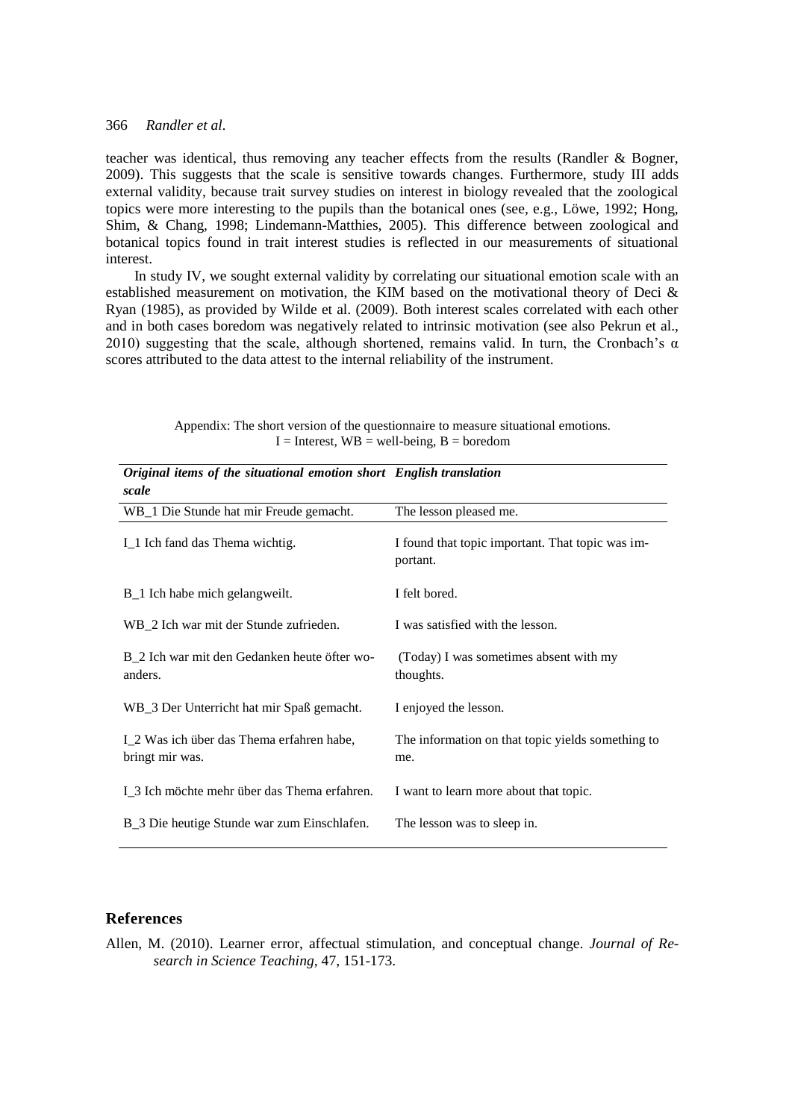teacher was identical, thus removing any teacher effects from the results (Randler & Bogner, 2009). This suggests that the scale is sensitive towards changes. Furthermore, study III adds external validity, because trait survey studies on interest in biology revealed that the zoological topics were more interesting to the pupils than the botanical ones (see, e.g., Löwe, 1992; Hong, Shim, & Chang, 1998; Lindemann-Matthies, 2005). This difference between zoological and botanical topics found in trait interest studies is reflected in our measurements of situational interest.

In study IV, we sought external validity by correlating our situational emotion scale with an established measurement on motivation, the KIM based on the motivational theory of Deci & Ryan (1985), as provided by Wilde et al. (2009). Both interest scales correlated with each other and in both cases boredom was negatively related to intrinsic motivation (see also Pekrun et al., 2010) suggesting that the scale, although shortened, remains valid. In turn, the Cronbach's  $\alpha$ scores attributed to the data attest to the internal reliability of the instrument.

| Original items of the situational emotion short English translation<br>scale |                                                              |
|------------------------------------------------------------------------------|--------------------------------------------------------------|
| WB_1 Die Stunde hat mir Freude gemacht.                                      | The lesson pleased me.                                       |
| I_1 Ich fand das Thema wichtig.                                              | I found that topic important. That topic was im-<br>portant. |
| B_1 Ich habe mich gelangweilt.                                               | I felt bored.                                                |
| WB_2 Ich war mit der Stunde zufrieden.                                       | I was satisfied with the lesson.                             |
| B_2 Ich war mit den Gedanken heute öfter wo-<br>anders.                      | (Today) I was sometimes absent with my<br>thoughts.          |
| WB_3 Der Unterricht hat mir Spaß gemacht.                                    | I enjoyed the lesson.                                        |
| I_2 Was ich über das Thema erfahren habe,<br>bringt mir was.                 | The information on that topic yields something to<br>me.     |
| I_3 Ich möchte mehr über das Thema erfahren.                                 | I want to learn more about that topic.                       |
| B_3 Die heutige Stunde war zum Einschlafen.                                  | The lesson was to sleep in.                                  |

Appendix: The short version of the questionnaire to measure situational emotions.  $I =$  Interest,  $WB =$  well-being,  $B =$  boredom

#### **References**

Allen, M. (2010). Learner error, affectual stimulation, and conceptual change. *Journal of Research in Science Teaching*, 47, 151-173.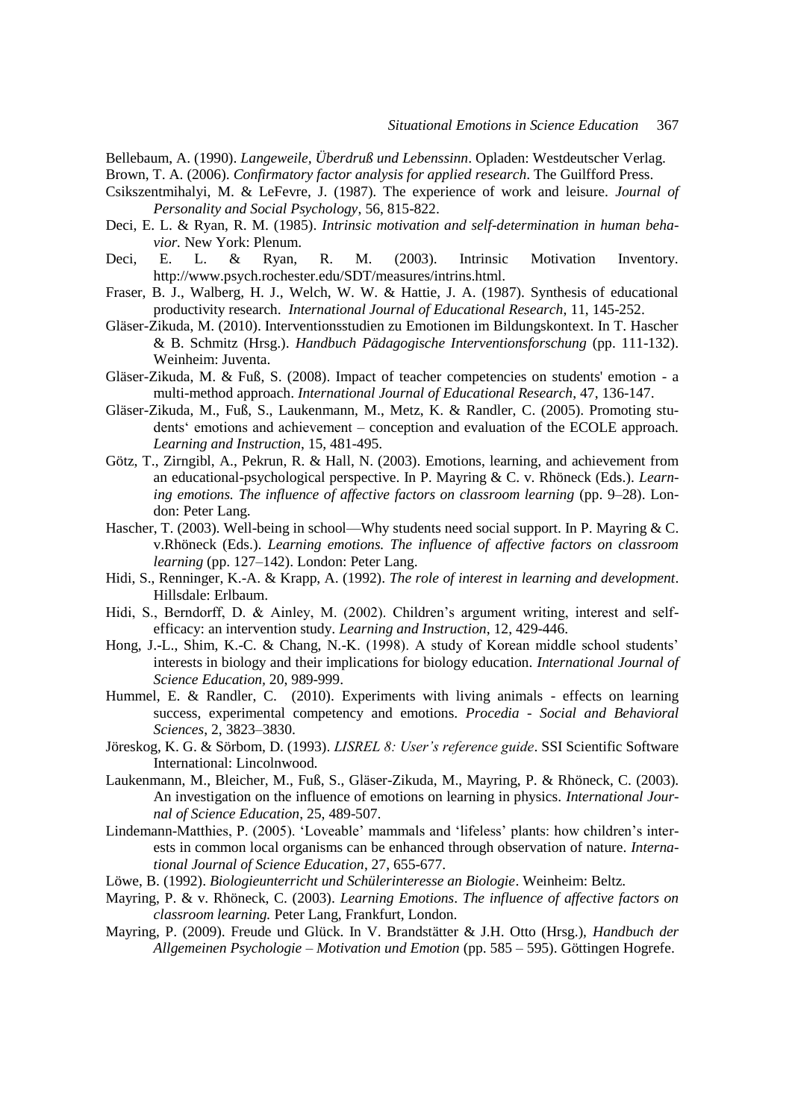Bellebaum, A. (1990). *Langeweile, Überdruß und Lebenssinn*. Opladen: Westdeutscher Verlag.

Brown, T. A. (2006). *Confirmatory factor analysis for applied research*. The Guilfford Press.

- Csikszentmihalyi, M. & LeFevre, J. (1987). The experience of work and leisure. *Journal of Personality and Social Psychology*, 56, 815-822.
- Deci, E. L. & Ryan, R. M. (1985). *Intrinsic motivation and self-determination in human behavior.* New York: Plenum.
- Deci, E. L. & Ryan, R. M. (2003). Intrinsic Motivation Inventory. http://www.psych.rochester.edu/SDT/measures/intrins.html.
- Fraser, B. J., Walberg, H. J., Welch, W. W. & Hattie, J. A. (1987). Synthesis of educational productivity research. *International Journal of Educational Research*, 11, 145-252.
- Gläser-Zikuda, M. (2010). Interventionsstudien zu Emotionen im Bildungskontext. In T. Hascher & B. Schmitz (Hrsg.). *Handbuch Pädagogische Interventionsforschung* (pp. 111-132). Weinheim: Juventa.
- Gläser-Zikuda, M. & Fuß, S. (2008). Impact of teacher competencies on students' emotion a multi-method approach. *International Journal of Educational Research*, 47, 136-147.
- Gläser-Zikuda, M., Fuß, S., Laukenmann, M., Metz, K. & Randler, C. (2005). Promoting students' emotions and achievement – conception and evaluation of the ECOLE approach. *Learning and Instruction*, 15, 481-495.
- Götz, T., Zirngibl, A., Pekrun, R. & Hall, N. (2003). Emotions, learning, and achievement from an educational-psychological perspective. In P. Mayring & C. v. Rhöneck (Eds.). *Learn*ing emotions. The influence of affective factors on classroom learning (pp. 9–28). London: Peter Lang.
- Hascher, T. (2003). Well-being in school—Why students need social support. In P. Mayring & C. v.Rhöneck (Eds.). *Learning emotions. The influence of affective factors on classroom learning* (pp. 127–142). London: Peter Lang.
- Hidi, S., Renninger, K.-A. & Krapp, A. (1992). *The role of interest in learning and development*. Hillsdale: Erlbaum.
- Hidi, S., Berndorff, D. & Ainley, M. (2002). Children's argument writing, interest and selfefficacy: an intervention study. *Learning and Instruction*, 12, 429-446.
- Hong, J.-L., Shim, K.-C. & Chang, N.-K. (1998). A study of Korean middle school students' interests in biology and their implications for biology education. *International Journal of Science Education,* 20, 989-999.
- Hummel, E. & Randler, C. (2010). Experiments with living animals effects on learning success, experimental competency and emotions. *Procedia - Social and Behavioral Sciences*, 2, 3823–3830.
- Jöreskog, K. G. & Sörbom, D. (1993). *LISREL 8: User's reference guide*. SSI Scientific Software International: Lincolnwood.
- Laukenmann, M., Bleicher, M., Fuß, S., Gläser-Zikuda, M., Mayring, P. & Rhöneck, C. (2003). An investigation on the influence of emotions on learning in physics. *International Journal of Science Education*, 25, 489-507.
- Lindemann-Matthies, P. (2005). ‗Loveable' mammals and ‗lifeless' plants: how children's interests in common local organisms can be enhanced through observation of nature. *International Journal of Science Education*, 27, 655-677.
- Löwe, B. (1992). *Biologieunterricht und Schülerinteresse an Biologie*. Weinheim: Beltz.
- Mayring, P. & v. Rhöneck, C. (2003). *Learning Emotions*. *The influence of affective factors on classroom learning.* Peter Lang, Frankfurt, London.
- Mayring, P. (2009). Freude und Glück. In V. Brandstätter & J.H. Otto (Hrsg.), *Handbuch der Allgemeinen Psychologie – Motivation und Emotion* (pp. 585 – 595). Göttingen Hogrefe.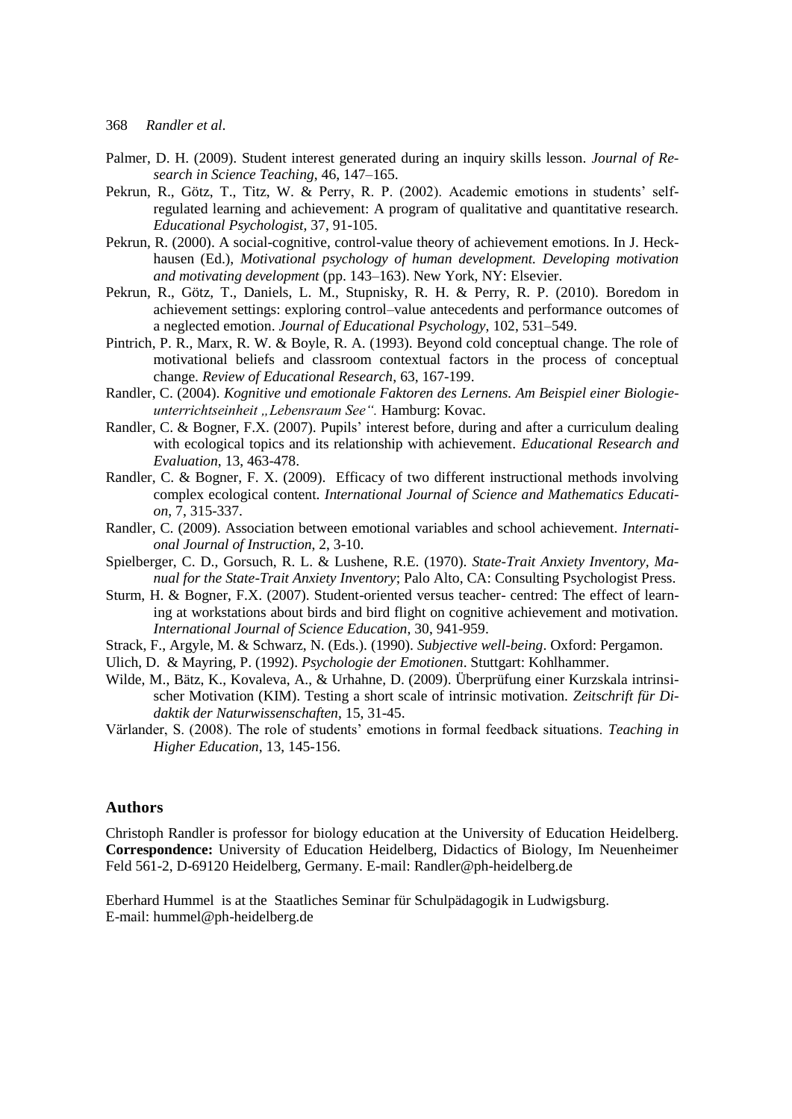- Palmer, D. H. (2009). Student interest generated during an inquiry skills lesson. *Journal of Research in Science Teaching*, 46, 147–165.
- Pekrun, R., Götz, T., Titz, W. & Perry, R. P. (2002). Academic emotions in students' selfregulated learning and achievement: A program of qualitative and quantitative research. *Educational Psychologist*, 37, 91-105.
- Pekrun, R. (2000). A social-cognitive, control-value theory of achievement emotions. In J. Heckhausen (Ed.), *Motivational psychology of human development. Developing motivation and motivating development* (pp. 143–163). New York, NY: Elsevier.
- Pekrun, R., Götz, T., Daniels, L. M., Stupnisky, R. H. & Perry, R. P. (2010). Boredom in achievement settings: exploring control–value antecedents and performance outcomes of a neglected emotion. *Journal of Educational Psychology*, 102, 531–549.
- Pintrich, P. R., Marx, R. W. & Boyle, R. A. (1993). Beyond cold conceptual change. The role of motivational beliefs and classroom contextual factors in the process of conceptual change. *Review of Educational Research*, 63, 167-199.
- Randler, C. (2004). *Kognitive und emotionale Faktoren des Lernens. Am Beispiel einer Biologieunterrichtseinheit "Lebensraum See".* Hamburg: Kovac.
- Randler, C. & Bogner, F.X. (2007). Pupils' interest before, during and after a curriculum dealing with ecological topics and its relationship with achievement. *Educational Research and Evaluation*, 13, 463-478.
- Randler, C. & Bogner, F. X. (2009). Efficacy of two different instructional methods involving complex ecological content. *International Journal of Science and Mathematics Education*, 7, 315-337.
- Randler, C. (2009). Association between emotional variables and school achievement. *International Journal of Instruction*, 2, 3-10.
- Spielberger, C. D., Gorsuch, R. L. & Lushene, R.E. (1970). *State-Trait Anxiety Inventory, Manual for the State-Trait Anxiety Inventory*; Palo Alto, CA: Consulting Psychologist Press.
- Sturm, H. & Bogner, F.X. (2007). Student-oriented versus teacher- centred: The effect of learning at workstations about birds and bird flight on cognitive achievement and motivation. *International Journal of Science Education*, 30, 941-959.
- Strack, F., Argyle, M. & Schwarz, N. (Eds.). (1990). *Subjective well-being*. Oxford: Pergamon.
- Ulich, D. & Mayring, P. (1992). *Psychologie der Emotionen*. Stuttgart: Kohlhammer.
- Wilde, M., Bätz, K., Kovaleva, A., & Urhahne, D. (2009). Überprüfung einer Kurzskala intrinsischer Motivation (KIM). Testing a short scale of intrinsic motivation. *Zeitschrift für Didaktik der Naturwissenschaften*, 15, 31-45.
- Värlander, S. (2008). The role of students' emotions in formal feedback situations. *Teaching in Higher Education*, 13, 145-156.

## **Authors**

Christoph Randler is professor for biology education at the University of Education Heidelberg. **Correspondence:** University of Education Heidelberg, Didactics of Biology, Im Neuenheimer Feld 561-2, D-69120 Heidelberg, Germany. E-mail: Randler@ph-heidelberg.de

Eberhard Hummel is at the Staatliches Seminar für Schulpädagogik in Ludwigsburg. E-mail: hummel@ph-heidelberg.de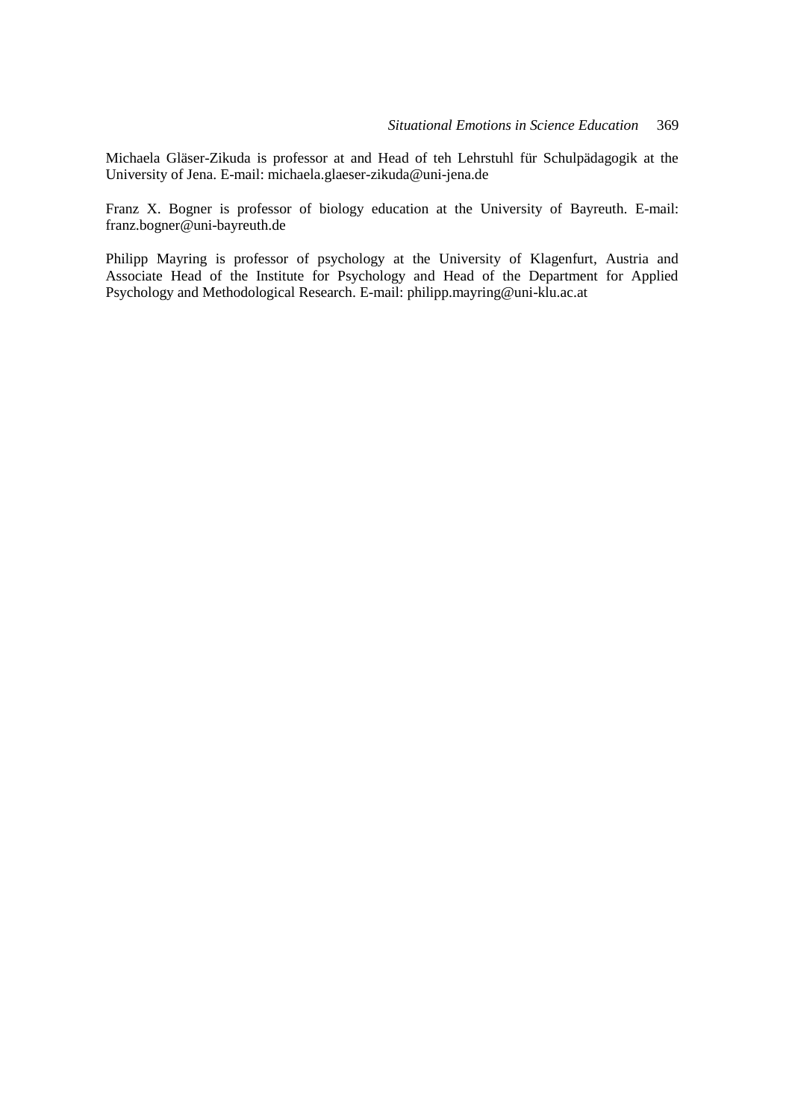Michaela Gläser-Zikuda is professor at and Head of teh Lehrstuhl für Schulpädagogik at the University of Jena. E-mail: michaela.glaeser-zikuda@uni-jena.de

Franz X. Bogner is professor of biology education at the University of Bayreuth. E-mail: franz.bogner@uni-bayreuth.de

Philipp Mayring is professor of psychology at the University of Klagenfurt, Austria and Associate Head of the Institute for Psychology and Head of the Department for Applied Psychology and Methodological Research. E-mail: philipp.mayring@uni-klu.ac.at